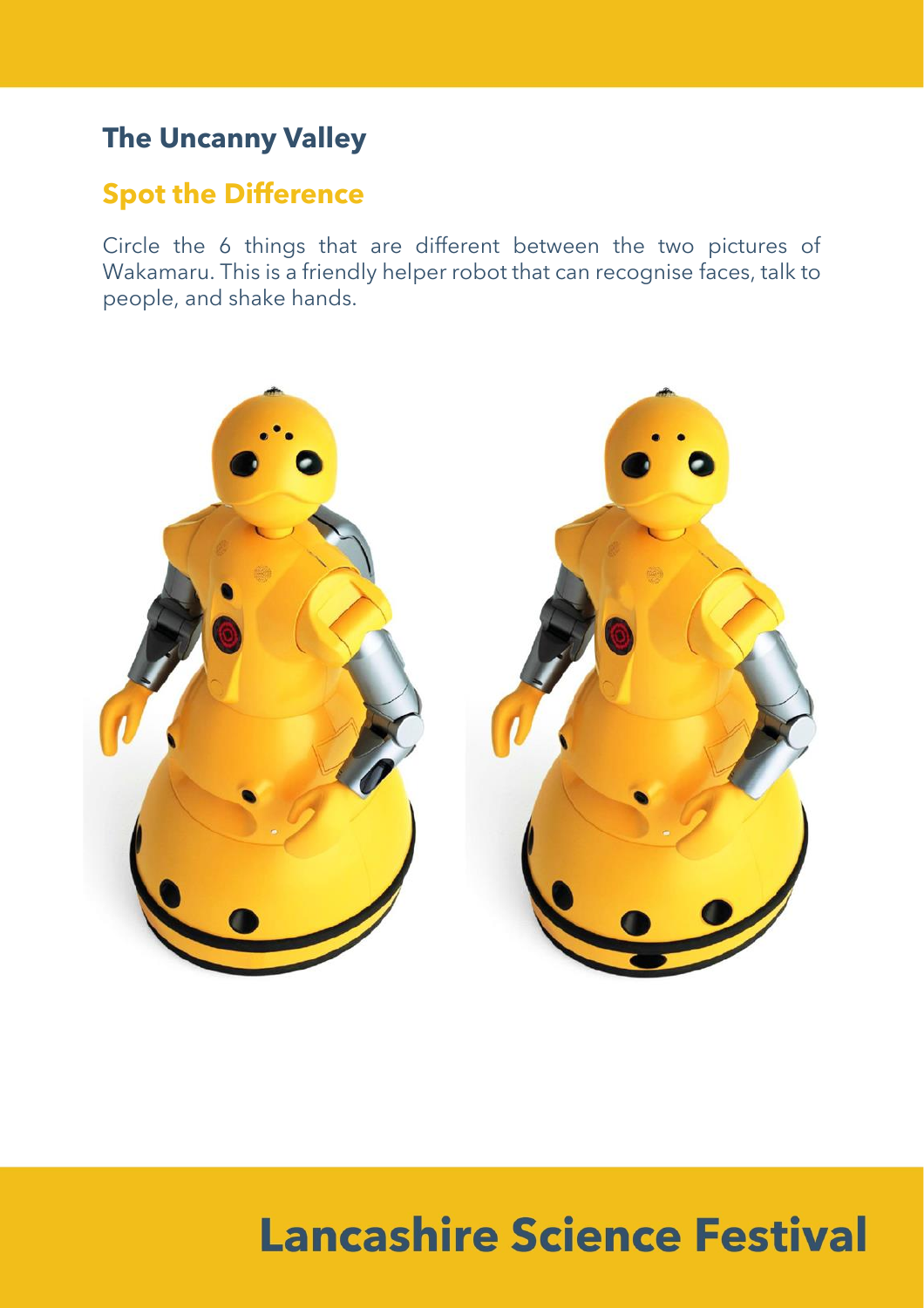### **The Uncanny Valley**

#### **Spot the Difference**

Circle the 6 things that are different between the two pictures of Wakamaru. This is a friendly helper robot that can recognise faces, talk to people, and shake hands.



# **Lancashire Science Festival**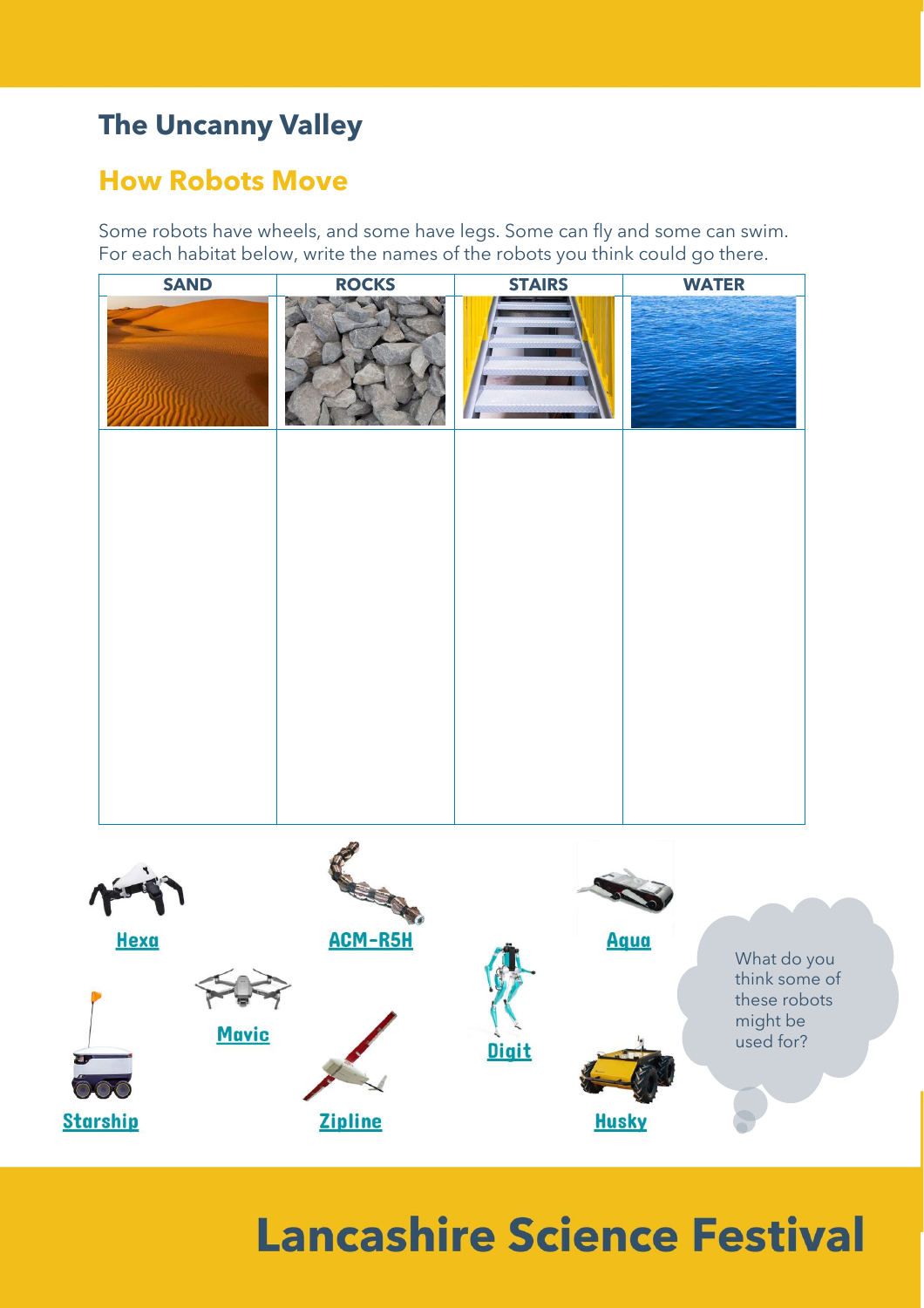### **The Uncanny Valley**

### **How Robots Move**

Some robots have wheels, and some have legs. Some can fly and some can swim. For each habitat below, write the names of the robots you think could go there.



## **Lancashire Science Festival**